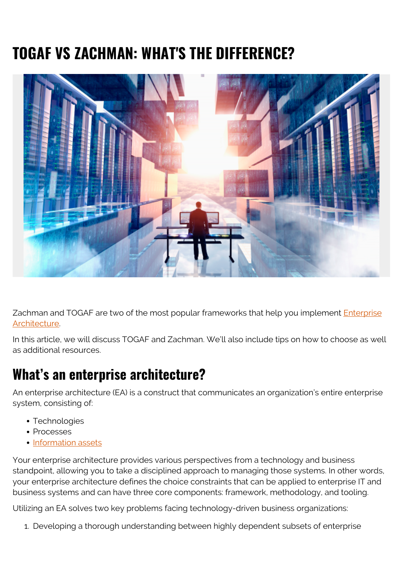## **TOGAF VS ZACHMAN: WHAT'S THE DIFFERENCE?**



Zachman and TOGAF are two of the most popular frameworks that help you implement *[Enterprise](https://blogs.bmc.com/blogs/enterprise-architecture-frameworks/)* [Architecture](https://blogs.bmc.com/blogs/enterprise-architecture-frameworks/).

In this article, we will discuss TOGAF and Zachman. We'll also include tips on how to choose as well as additional resources.

#### **What's an enterprise architecture?**

An enterprise architecture (EA) is a construct that communicates an organization's entire enterprise system, consisting of:

- Technologies
- Processes
- [Information assets](https://blogs.bmc.com/blogs/asset-management-vs-configuration-management/)

Your enterprise architecture provides various perspectives from a technology and business standpoint, allowing you to take a disciplined approach to managing those systems. In other words, your enterprise architecture defines the choice constraints that can be applied to enterprise IT and business systems and can have three core components: framework, methodology, and tooling.

Utilizing an EA solves two key problems facing technology-driven business organizations:

1. Developing a thorough understanding between highly dependent subsets of enterprise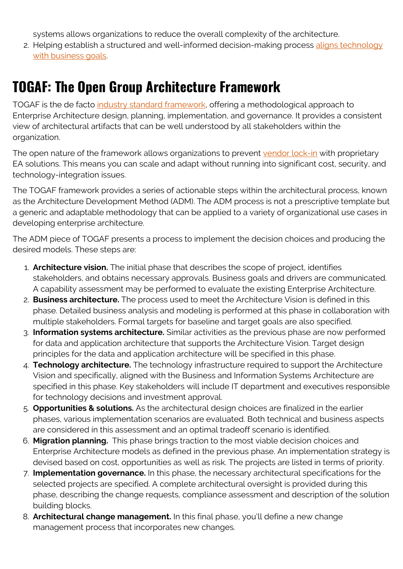systems allows organizations to reduce the overall complexity of the architecture.

2. Helping establish a structured and well-informed decision-making process [aligns technology](https://blogs.bmc.com/blogs/it-business-alignment/) [with business goals](https://blogs.bmc.com/blogs/it-business-alignment/).

## **TOGAF: The Open Group Architecture Framework**

TOGAF is the de facto [industry standard framework,](https://www.opengroup.org/togaf) offering a methodological approach to Enterprise Architecture design, planning, implementation, and governance. It provides a consistent view of architectural artifacts that can be well understood by all stakeholders within the organization.

The open nature of the framework allows organizations to prevent [vendor lock-in](https://blogs.bmc.com/blogs/vendor-lock-in/) with proprietary EA solutions. This means you can scale and adapt without running into significant cost, security, and technology-integration issues.

The TOGAF framework provides a series of actionable steps within the architectural process, known as the Architecture Development Method (ADM). The ADM process is not a prescriptive template but a generic and adaptable methodology that can be applied to a variety of organizational use cases in developing enterprise architecture.

The ADM piece of TOGAF presents a process to implement the decision choices and producing the desired models. These steps are:

- 1. **Architecture vision.** The initial phase that describes the scope of project, identifies stakeholders, and obtains necessary approvals. Business goals and drivers are communicated. A capability assessment may be performed to evaluate the existing Enterprise Architecture.
- 2. **Business architecture.** The process used to meet the Architecture Vision is defined in this phase. Detailed business analysis and modeling is performed at this phase in collaboration with multiple stakeholders. Formal targets for baseline and target goals are also specified.
- 3. **Information systems architecture.** Similar activities as the previous phase are now performed for data and application architecture that supports the Architecture Vision. Target design principles for the data and application architecture will be specified in this phase.
- 4. **Technology architecture.** The technology infrastructure required to support the Architecture Vision and specifically, aligned with the Business and Information Systems Architecture are specified in this phase. Key stakeholders will include IT department and executives responsible for technology decisions and investment approval.
- 5. **Opportunities & solutions.** As the architectural design choices are finalized in the earlier phases, various implementation scenarios are evaluated. Both technical and business aspects are considered in this assessment and an optimal tradeoff scenario is identified.
- 6. **Migration planning.** This phase brings traction to the most viable decision choices and Enterprise Architecture models as defined in the previous phase. An implementation strategy is devised based on cost, opportunities as well as risk. The projects are listed in terms of priority.
- 7. **Implementation governance.** In this phase, the necessary architectural specifications for the selected projects are specified. A complete architectural oversight is provided during this phase, describing the change requests, compliance assessment and description of the solution building blocks.
- 8. **Architectural change management.** In this final phase, you'll define a new change management process that incorporates new changes.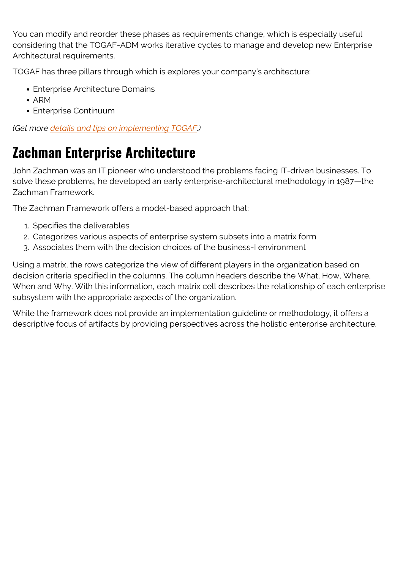You can modify and reorder these phases as requirements change, which is especially useful considering that the TOGAF-ADM works iterative cycles to manage and develop new Enterprise Architectural requirements.

TOGAF has three pillars through which is explores your company's architecture:

- Enterprise Architecture Domains
- $\bullet$  ARM
- Enterprise Continuum

*(Get more [details and tips on implementing TOGAF](https://blogs.bmc.com/blogs/togaf-open-group-architecture-framework/).)*

## **Zachman Enterprise Architecture**

John Zachman was an IT pioneer who understood the problems facing IT-driven businesses. To solve these problems, he developed an early enterprise-architectural methodology in 1987—the Zachman Framework.

The Zachman Framework offers a model-based approach that:

- 1. Specifies the deliverables
- 2. Categorizes various aspects of enterprise system subsets into a matrix form
- 3. Associates them with the decision choices of the business-I environment

Using a matrix, the rows categorize the view of different players in the organization based on decision criteria specified in the columns. The column headers describe the What, How, Where, When and Why. With this information, each matrix cell describes the relationship of each enterprise subsystem with the appropriate aspects of the organization.

While the framework does not provide an implementation guideline or methodology, it offers a descriptive focus of artifacts by providing perspectives across the holistic enterprise architecture.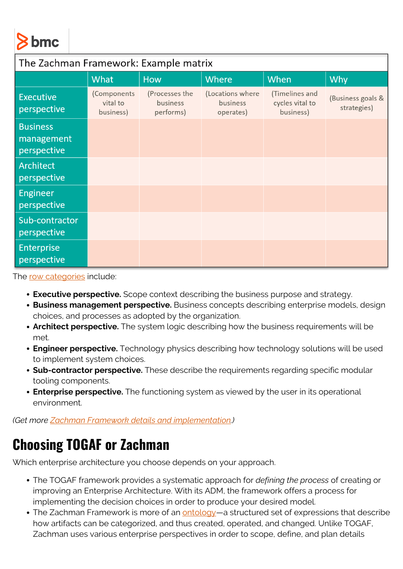# **bmc**

| The Zachman Framework: Example matrix        |                                      |                                         |                                           |                                                |                                  |
|----------------------------------------------|--------------------------------------|-----------------------------------------|-------------------------------------------|------------------------------------------------|----------------------------------|
|                                              | What                                 | <b>How</b>                              | <b>Where</b>                              | When                                           | Why                              |
| <b>Executive</b><br>perspective              | (Components<br>vital to<br>business) | (Processes the<br>business<br>performs) | (Locations where<br>business<br>operates) | (Timelines and<br>cycles vital to<br>business) | (Business goals &<br>strategies) |
| <b>Business</b><br>management<br>perspective |                                      |                                         |                                           |                                                |                                  |
| Architect<br>perspective                     |                                      |                                         |                                           |                                                |                                  |
| Engineer<br>perspective                      |                                      |                                         |                                           |                                                |                                  |
| Sub-contractor<br>perspective                |                                      |                                         |                                           |                                                |                                  |
| <b>Enterprise</b><br>perspective             |                                      |                                         |                                           |                                                |                                  |

The [row categories](https://en.wikipedia.org/wiki/Zachman_Framework#Views_of_rows) include:

- **Executive perspective.** Scope context describing the business purpose and strategy.
- **Business management perspective.** Business concepts describing enterprise models, design choices, and processes as adopted by the organization.
- **Architect perspective.** The system logic describing how the business requirements will be met.
- **Engineer perspective.** Technology physics describing how technology solutions will be used to implement system choices.
- **Sub-contractor perspective.** These describe the requirements regarding specific modular tooling components.
- **Enterprise perspective.** The functioning system as viewed by the user in its operational environment.

*(Get more [Zachman Framework details and implementation](https://blogs.bmc.com/blogs/zachman-framework/).)*

### **Choosing TOGAF or Zachman**

Which enterprise architecture you choose depends on your approach.

- The TOGAF framework provides a systematic approach for *defining the process* of creating or improving an Enterprise Architecture. With its ADM, the framework offers a process for implementing the decision choices in order to produce your desired model.
- The Zachman Framework is more of an **[ontology](https://web.archive.org/web/20200303051409/https://www.zachman.com/about-the-zachman-framework)**—a structured set of expressions that describe how artifacts can be categorized, and thus created, operated, and changed. Unlike TOGAF, Zachman uses various enterprise perspectives in order to scope, define, and plan details